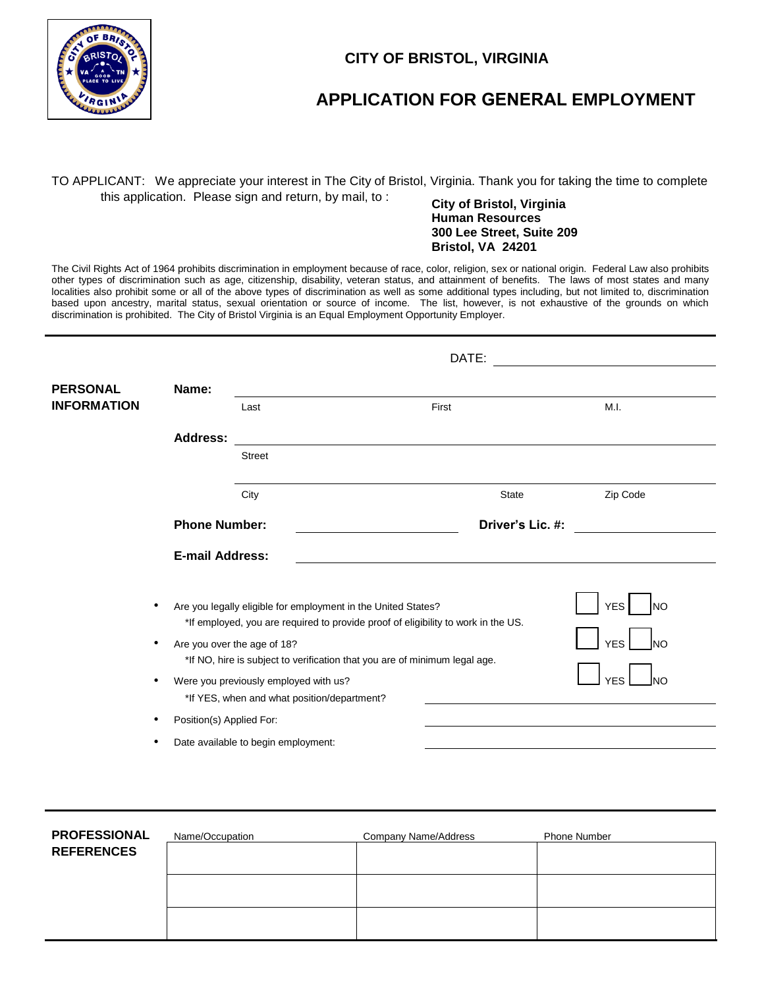

### **CITY OF BRISTOL, VIRGINIA**

# **APPLICATION FOR GENERAL EMPLOYMENT**

## TO APPLICANT: We appreciate your interest in The City of Bristol, Virginia. Thank you for taking the time to complete this application. Please sign and return, by mail, to : **City of Bristol, Virginia**

## **Human Resources 300 Lee Street, Suite 209 Bristol, VA 24201**

The Civil Rights Act of 1964 prohibits discrimination in employment because of race, color, religion, sex or national origin. Federal Law also prohibits other types of discrimination such as age, citizenship, disability, veteran status, and attainment of benefits. The laws of most states and many localities also prohibit some or all of the above types of discrimination as well as some additional types including, but not limited to, discrimination based upon ancestry, marital status, sexual orientation or source of income. The list, however, is not exhaustive of the grounds on which discrimination is prohibited. The City of Bristol Virginia is an Equal Employment Opportunity Employer.

|                    |                                                                                                                                                    | DATE:                               |                  |          |  |  |  |  |
|--------------------|----------------------------------------------------------------------------------------------------------------------------------------------------|-------------------------------------|------------------|----------|--|--|--|--|
| <b>PERSONAL</b>    | Name:                                                                                                                                              |                                     |                  |          |  |  |  |  |
| <b>INFORMATION</b> |                                                                                                                                                    | Last                                | First            | M.I.     |  |  |  |  |
|                    | <b>Address:</b>                                                                                                                                    |                                     |                  |          |  |  |  |  |
|                    |                                                                                                                                                    | <b>Street</b>                       |                  |          |  |  |  |  |
|                    |                                                                                                                                                    | City                                | <b>State</b>     | Zip Code |  |  |  |  |
|                    | <b>Phone Number:</b>                                                                                                                               |                                     | Driver's Lic. #: |          |  |  |  |  |
|                    |                                                                                                                                                    | <b>E-mail Address:</b>              |                  |          |  |  |  |  |
|                    | Are you legally eligible for employment in the United States?<br>*If employed, you are required to provide proof of eligibility to work in the US. | <b>YES</b><br>Ino                   |                  |          |  |  |  |  |
|                    | Are you over the age of 18?<br>*If NO, hire is subject to verification that you are of minimum legal age.                                          | <b>YES</b><br>Ino                   |                  |          |  |  |  |  |
|                    | Were you previously employed with us?<br>*If YES, when and what position/department?                                                               | <b>YFS</b><br>INO                   |                  |          |  |  |  |  |
|                    | Position(s) Applied For:                                                                                                                           |                                     |                  |          |  |  |  |  |
|                    | ٠                                                                                                                                                  | Date available to begin employment: |                  |          |  |  |  |  |

| <b>PROFESSIONAL</b> | Name/Occupation | Company Name/Address | <b>Phone Number</b> |  |
|---------------------|-----------------|----------------------|---------------------|--|
| <b>REFERENCES</b>   |                 |                      |                     |  |
|                     |                 |                      |                     |  |
|                     |                 |                      |                     |  |
|                     |                 |                      |                     |  |
|                     |                 |                      |                     |  |
|                     |                 |                      |                     |  |